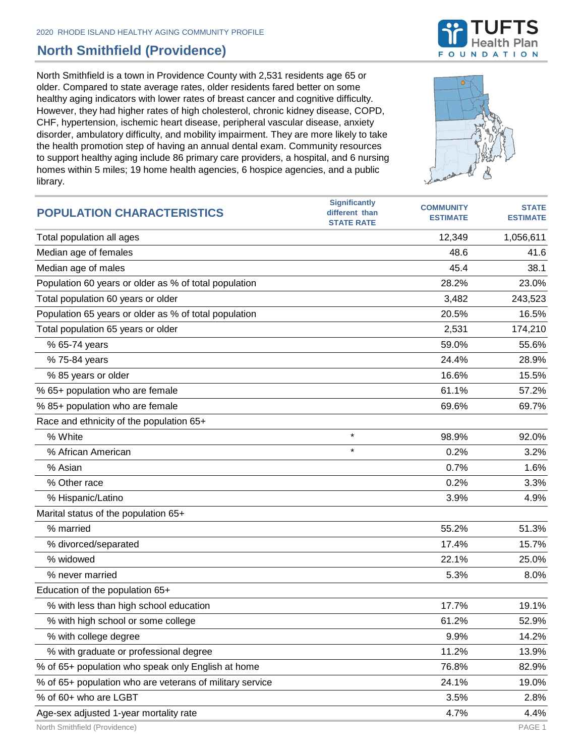## **North Smithfield (Providence)**

North Smithfield is a town in Providence County with 2,531 residents age 65 or older. Compared to state average rates, older residents fared better on some healthy aging indicators with lower rates of breast cancer and cognitive difficulty. However, they had higher rates of high cholesterol, chronic kidney disease, COPD, CHF, hypertension, ischemic heart disease, peripheral vascular disease, anxiety disorder, ambulatory difficulty, and mobility impairment. They are more likely to take the health promotion step of having an annual dental exam. Community resources to support healthy aging include 86 primary care providers, a hospital, and 6 nursing homes within 5 miles; 19 home health agencies, 6 hospice agencies, and a public library.

| <b>POPULATION CHARACTERISTICS</b>                        | <b>Significantly</b><br>different than<br><b>STATE RATE</b> | <b>COMMUNITY</b><br><b>ESTIMATE</b> | <b>STATE</b><br><b>ESTIMATE</b> |
|----------------------------------------------------------|-------------------------------------------------------------|-------------------------------------|---------------------------------|
| Total population all ages                                |                                                             | 12,349                              | 1,056,611                       |
| Median age of females                                    |                                                             | 48.6                                | 41.6                            |
| Median age of males                                      |                                                             | 45.4                                | 38.1                            |
| Population 60 years or older as % of total population    |                                                             | 28.2%                               | 23.0%                           |
| Total population 60 years or older                       |                                                             | 3,482                               | 243,523                         |
| Population 65 years or older as % of total population    |                                                             | 20.5%                               | 16.5%                           |
| Total population 65 years or older                       |                                                             | 2,531                               | 174,210                         |
| % 65-74 years                                            |                                                             | 59.0%                               | 55.6%                           |
| % 75-84 years                                            |                                                             | 24.4%                               | 28.9%                           |
| % 85 years or older                                      |                                                             | 16.6%                               | 15.5%                           |
| % 65+ population who are female                          |                                                             | 61.1%                               | 57.2%                           |
| % 85+ population who are female                          |                                                             | 69.6%                               | 69.7%                           |
| Race and ethnicity of the population 65+                 |                                                             |                                     |                                 |
| % White                                                  | $\star$                                                     | 98.9%                               | 92.0%                           |
| % African American                                       | $\star$                                                     | 0.2%                                | 3.2%                            |
| % Asian                                                  |                                                             | 0.7%                                | 1.6%                            |
| % Other race                                             |                                                             | 0.2%                                | 3.3%                            |
| % Hispanic/Latino                                        |                                                             | 3.9%                                | 4.9%                            |
| Marital status of the population 65+                     |                                                             |                                     |                                 |
| % married                                                |                                                             | 55.2%                               | 51.3%                           |
| % divorced/separated                                     |                                                             | 17.4%                               | 15.7%                           |
| % widowed                                                |                                                             | 22.1%                               | 25.0%                           |
| % never married                                          |                                                             | 5.3%                                | 8.0%                            |
| Education of the population 65+                          |                                                             |                                     |                                 |
| % with less than high school education                   |                                                             | 17.7%                               | 19.1%                           |
| % with high school or some college                       |                                                             | 61.2%                               | 52.9%                           |
| % with college degree                                    |                                                             | 9.9%                                | 14.2%                           |
| % with graduate or professional degree                   |                                                             | 11.2%                               | 13.9%                           |
| % of 65+ population who speak only English at home       |                                                             | 76.8%                               | 82.9%                           |
| % of 65+ population who are veterans of military service |                                                             | 24.1%                               | 19.0%                           |
| % of 60+ who are LGBT                                    |                                                             | 3.5%                                | 2.8%                            |
| Age-sex adjusted 1-year mortality rate                   |                                                             | 4.7%                                | 4.4%                            |

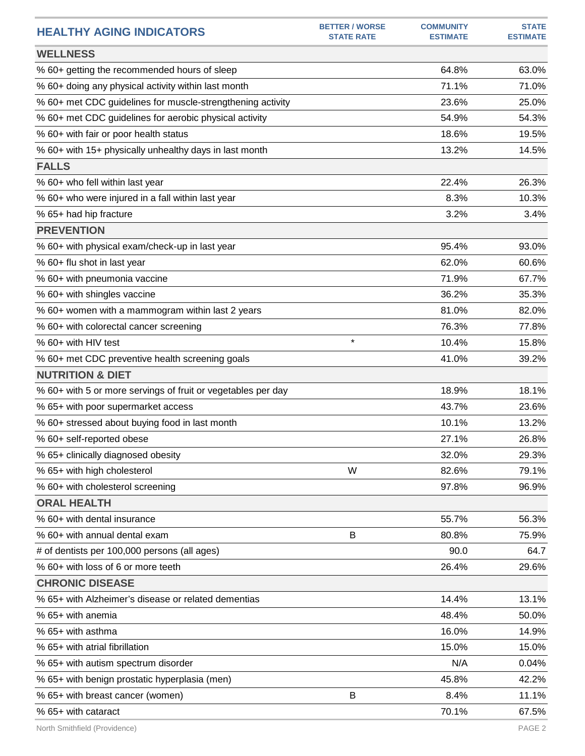| <b>HEALTHY AGING INDICATORS</b>                              | <b>BETTER / WORSE</b><br><b>STATE RATE</b> | <b>COMMUNITY</b><br><b>ESTIMATE</b> | <b>STATE</b><br><b>ESTIMATE</b> |
|--------------------------------------------------------------|--------------------------------------------|-------------------------------------|---------------------------------|
| <b>WELLNESS</b>                                              |                                            |                                     |                                 |
| % 60+ getting the recommended hours of sleep                 |                                            | 64.8%                               | 63.0%                           |
| % 60+ doing any physical activity within last month          |                                            | 71.1%                               | 71.0%                           |
| % 60+ met CDC guidelines for muscle-strengthening activity   |                                            | 23.6%                               | 25.0%                           |
| % 60+ met CDC guidelines for aerobic physical activity       |                                            | 54.9%                               | 54.3%                           |
| % 60+ with fair or poor health status                        |                                            | 18.6%                               | 19.5%                           |
| % 60+ with 15+ physically unhealthy days in last month       |                                            | 13.2%                               | 14.5%                           |
| <b>FALLS</b>                                                 |                                            |                                     |                                 |
| % 60+ who fell within last year                              |                                            | 22.4%                               | 26.3%                           |
| % 60+ who were injured in a fall within last year            |                                            | 8.3%                                | 10.3%                           |
| % 65+ had hip fracture                                       |                                            | 3.2%                                | 3.4%                            |
| <b>PREVENTION</b>                                            |                                            |                                     |                                 |
| % 60+ with physical exam/check-up in last year               |                                            | 95.4%                               | 93.0%                           |
| % 60+ flu shot in last year                                  |                                            | 62.0%                               | 60.6%                           |
| % 60+ with pneumonia vaccine                                 |                                            | 71.9%                               | 67.7%                           |
| % 60+ with shingles vaccine                                  |                                            | 36.2%                               | 35.3%                           |
| % 60+ women with a mammogram within last 2 years             |                                            | 81.0%                               | 82.0%                           |
| % 60+ with colorectal cancer screening                       |                                            | 76.3%                               | 77.8%                           |
| % 60+ with HIV test                                          | $\star$                                    | 10.4%                               | 15.8%                           |
| % 60+ met CDC preventive health screening goals              |                                            | 41.0%                               | 39.2%                           |
| <b>NUTRITION &amp; DIET</b>                                  |                                            |                                     |                                 |
| % 60+ with 5 or more servings of fruit or vegetables per day |                                            | 18.9%                               | 18.1%                           |
| % 65+ with poor supermarket access                           |                                            | 43.7%                               | 23.6%                           |
| % 60+ stressed about buying food in last month               |                                            | 10.1%                               | 13.2%                           |
| % 60+ self-reported obese                                    |                                            | 27.1%                               | 26.8%                           |
| % 65+ clinically diagnosed obesity                           |                                            | 32.0%                               | 29.3%                           |
| % 65+ with high cholesterol                                  | W                                          | 82.6%                               | 79.1%                           |
| % 60+ with cholesterol screening                             |                                            | 97.8%                               | 96.9%                           |
| <b>ORAL HEALTH</b>                                           |                                            |                                     |                                 |
| % 60+ with dental insurance                                  |                                            | 55.7%                               | 56.3%                           |
| % 60+ with annual dental exam                                | В                                          | 80.8%                               | 75.9%                           |
| # of dentists per 100,000 persons (all ages)                 |                                            | 90.0                                | 64.7                            |
| % 60+ with loss of 6 or more teeth                           |                                            | 26.4%                               | 29.6%                           |
| <b>CHRONIC DISEASE</b>                                       |                                            |                                     |                                 |
| % 65+ with Alzheimer's disease or related dementias          |                                            | 14.4%                               | 13.1%                           |
| % 65+ with anemia                                            |                                            | 48.4%                               | 50.0%                           |
| % 65+ with asthma                                            |                                            | 16.0%                               | 14.9%                           |
| % 65+ with atrial fibrillation                               |                                            | 15.0%                               | 15.0%                           |
| % 65+ with autism spectrum disorder                          |                                            | N/A                                 | 0.04%                           |
| % 65+ with benign prostatic hyperplasia (men)                |                                            | 45.8%                               | 42.2%                           |
| % 65+ with breast cancer (women)                             | B                                          | 8.4%                                | 11.1%                           |
| % 65+ with cataract                                          |                                            | 70.1%                               | 67.5%                           |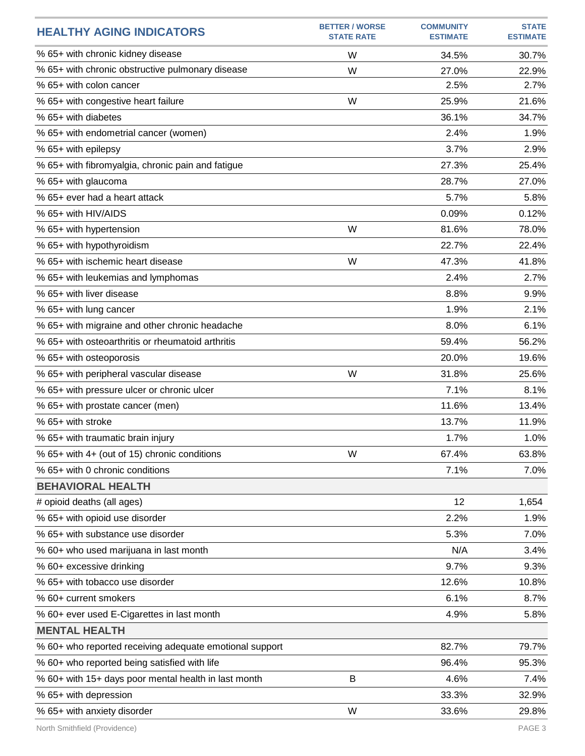| <b>HEALTHY AGING INDICATORS</b>                         | <b>BETTER / WORSE</b><br><b>STATE RATE</b> | <b>COMMUNITY</b><br><b>ESTIMATE</b> | <b>STATE</b><br><b>ESTIMATE</b> |
|---------------------------------------------------------|--------------------------------------------|-------------------------------------|---------------------------------|
| % 65+ with chronic kidney disease                       | W                                          | 34.5%                               | 30.7%                           |
| % 65+ with chronic obstructive pulmonary disease        | W                                          | 27.0%                               | 22.9%                           |
| % 65+ with colon cancer                                 |                                            | 2.5%                                | 2.7%                            |
| % 65+ with congestive heart failure                     | W                                          | 25.9%                               | 21.6%                           |
| % 65+ with diabetes                                     |                                            | 36.1%                               | 34.7%                           |
| % 65+ with endometrial cancer (women)                   |                                            | 2.4%                                | 1.9%                            |
| % 65+ with epilepsy                                     |                                            | 3.7%                                | 2.9%                            |
| % 65+ with fibromyalgia, chronic pain and fatigue       |                                            | 27.3%                               | 25.4%                           |
| % 65+ with glaucoma                                     |                                            | 28.7%                               | 27.0%                           |
| % 65+ ever had a heart attack                           |                                            | 5.7%                                | 5.8%                            |
| % 65+ with HIV/AIDS                                     |                                            | 0.09%                               | 0.12%                           |
| % 65+ with hypertension                                 | W                                          | 81.6%                               | 78.0%                           |
| % 65+ with hypothyroidism                               |                                            | 22.7%                               | 22.4%                           |
| % 65+ with ischemic heart disease                       | W                                          | 47.3%                               | 41.8%                           |
| % 65+ with leukemias and lymphomas                      |                                            | 2.4%                                | 2.7%                            |
| % 65+ with liver disease                                |                                            | 8.8%                                | 9.9%                            |
| % 65+ with lung cancer                                  |                                            | 1.9%                                | 2.1%                            |
| % 65+ with migraine and other chronic headache          |                                            | 8.0%                                | 6.1%                            |
| % 65+ with osteoarthritis or rheumatoid arthritis       |                                            | 59.4%                               | 56.2%                           |
| % 65+ with osteoporosis                                 |                                            | 20.0%                               | 19.6%                           |
| % 65+ with peripheral vascular disease                  | W                                          | 31.8%                               | 25.6%                           |
| % 65+ with pressure ulcer or chronic ulcer              |                                            | 7.1%                                | 8.1%                            |
| % 65+ with prostate cancer (men)                        |                                            | 11.6%                               | 13.4%                           |
| % 65+ with stroke                                       |                                            | 13.7%                               | 11.9%                           |
| % 65+ with traumatic brain injury                       |                                            | 1.7%                                | 1.0%                            |
| % 65+ with 4+ (out of 15) chronic conditions            | W                                          | 67.4%                               | 63.8%                           |
| % 65+ with 0 chronic conditions                         |                                            | 7.1%                                | 7.0%                            |
| <b>BEHAVIORAL HEALTH</b>                                |                                            |                                     |                                 |
| # opioid deaths (all ages)                              |                                            | 12                                  | 1,654                           |
| % 65+ with opioid use disorder                          |                                            | 2.2%                                | 1.9%                            |
| % 65+ with substance use disorder                       |                                            | 5.3%                                | 7.0%                            |
| % 60+ who used marijuana in last month                  |                                            | N/A                                 | 3.4%                            |
| % 60+ excessive drinking                                |                                            | 9.7%                                | 9.3%                            |
| % 65+ with tobacco use disorder                         |                                            | 12.6%                               | 10.8%                           |
| % 60+ current smokers                                   |                                            | 6.1%                                | 8.7%                            |
| % 60+ ever used E-Cigarettes in last month              |                                            | 4.9%                                | 5.8%                            |
| <b>MENTAL HEALTH</b>                                    |                                            |                                     |                                 |
| % 60+ who reported receiving adequate emotional support |                                            | 82.7%                               | 79.7%                           |
| % 60+ who reported being satisfied with life            |                                            | 96.4%                               | 95.3%                           |
| % 60+ with 15+ days poor mental health in last month    | B                                          | 4.6%                                | 7.4%                            |
| % 65+ with depression                                   |                                            | 33.3%                               | 32.9%                           |
| % 65+ with anxiety disorder                             | W                                          | 33.6%                               | 29.8%                           |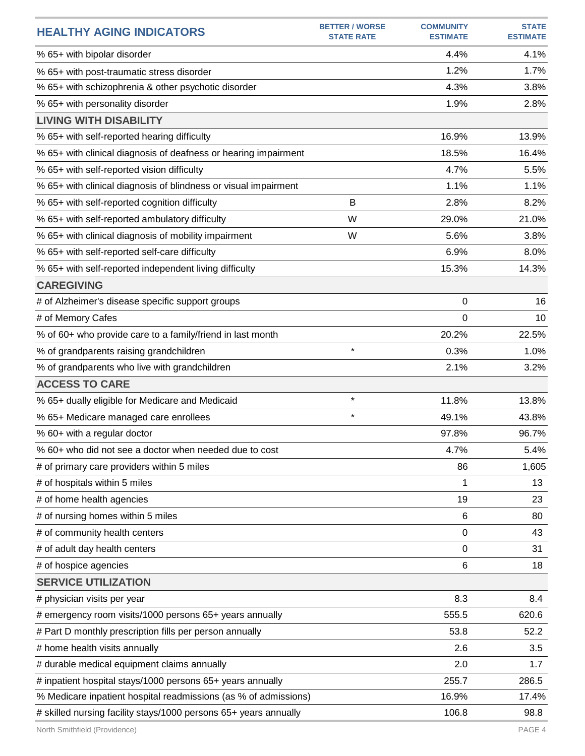| <b>HEALTHY AGING INDICATORS</b>                                  | <b>BETTER / WORSE</b><br><b>STATE RATE</b> | <b>COMMUNITY</b><br><b>ESTIMATE</b> | <b>STATE</b><br><b>ESTIMATE</b> |
|------------------------------------------------------------------|--------------------------------------------|-------------------------------------|---------------------------------|
| % 65+ with bipolar disorder                                      |                                            | 4.4%                                | 4.1%                            |
| % 65+ with post-traumatic stress disorder                        |                                            | 1.2%                                | 1.7%                            |
| % 65+ with schizophrenia & other psychotic disorder              |                                            | 4.3%                                | 3.8%                            |
| % 65+ with personality disorder                                  |                                            | 1.9%                                | 2.8%                            |
| <b>LIVING WITH DISABILITY</b>                                    |                                            |                                     |                                 |
| % 65+ with self-reported hearing difficulty                      |                                            | 16.9%                               | 13.9%                           |
| % 65+ with clinical diagnosis of deafness or hearing impairment  |                                            | 18.5%                               | 16.4%                           |
| % 65+ with self-reported vision difficulty                       |                                            | 4.7%                                | 5.5%                            |
| % 65+ with clinical diagnosis of blindness or visual impairment  |                                            | 1.1%                                | 1.1%                            |
| % 65+ with self-reported cognition difficulty                    | B                                          | 2.8%                                | 8.2%                            |
| % 65+ with self-reported ambulatory difficulty                   | W                                          | 29.0%                               | 21.0%                           |
| % 65+ with clinical diagnosis of mobility impairment             | W                                          | 5.6%                                | 3.8%                            |
| % 65+ with self-reported self-care difficulty                    |                                            | 6.9%                                | 8.0%                            |
| % 65+ with self-reported independent living difficulty           |                                            | 15.3%                               | 14.3%                           |
| <b>CAREGIVING</b>                                                |                                            |                                     |                                 |
| # of Alzheimer's disease specific support groups                 |                                            | 0                                   | 16                              |
| # of Memory Cafes                                                |                                            | 0                                   | 10                              |
| % of 60+ who provide care to a family/friend in last month       |                                            | 20.2%                               | 22.5%                           |
| % of grandparents raising grandchildren                          | $\star$                                    | 0.3%                                | 1.0%                            |
| % of grandparents who live with grandchildren                    |                                            | 2.1%                                | 3.2%                            |
| <b>ACCESS TO CARE</b>                                            |                                            |                                     |                                 |
| % 65+ dually eligible for Medicare and Medicaid                  | $\star$                                    | 11.8%                               | 13.8%                           |
| % 65+ Medicare managed care enrollees                            | $\star$                                    | 49.1%                               | 43.8%                           |
| % 60+ with a regular doctor                                      |                                            | 97.8%                               | 96.7%                           |
| % 60+ who did not see a doctor when needed due to cost           |                                            | 4.7%                                | 5.4%                            |
| # of primary care providers within 5 miles                       |                                            | 86                                  | 1,605                           |
| # of hospitals within 5 miles                                    |                                            | 1                                   | 13                              |
| # of home health agencies                                        |                                            | 19                                  | 23                              |
| # of nursing homes within 5 miles                                |                                            | 6                                   | 80                              |
| # of community health centers                                    |                                            | $\mathbf 0$                         | 43                              |
| # of adult day health centers                                    |                                            | 0                                   | 31                              |
| # of hospice agencies                                            |                                            | 6                                   | 18                              |
| <b>SERVICE UTILIZATION</b>                                       |                                            |                                     |                                 |
| # physician visits per year                                      |                                            | 8.3                                 | 8.4                             |
| # emergency room visits/1000 persons 65+ years annually          |                                            | 555.5                               | 620.6                           |
| # Part D monthly prescription fills per person annually          |                                            | 53.8                                | 52.2                            |
| # home health visits annually                                    |                                            | 2.6                                 | 3.5                             |
| # durable medical equipment claims annually                      |                                            | 2.0                                 | 1.7                             |
| # inpatient hospital stays/1000 persons 65+ years annually       |                                            | 255.7                               | 286.5                           |
| % Medicare inpatient hospital readmissions (as % of admissions)  |                                            | 16.9%                               | 17.4%                           |
| # skilled nursing facility stays/1000 persons 65+ years annually |                                            | 106.8                               | 98.8                            |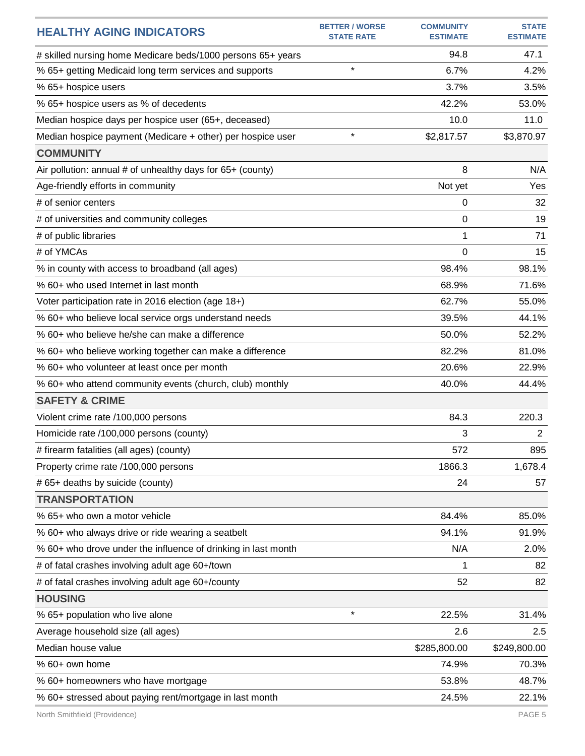|                                                               | <b>BETTER / WORSE</b> | <b>COMMUNITY</b> | <b>STATE</b>    |
|---------------------------------------------------------------|-----------------------|------------------|-----------------|
| <b>HEALTHY AGING INDICATORS</b>                               | <b>STATE RATE</b>     | <b>ESTIMATE</b>  | <b>ESTIMATE</b> |
| # skilled nursing home Medicare beds/1000 persons 65+ years   |                       | 94.8             | 47.1            |
| % 65+ getting Medicaid long term services and supports        | $\star$               | 6.7%             | 4.2%            |
| % 65+ hospice users                                           |                       | 3.7%             | 3.5%            |
| % 65+ hospice users as % of decedents                         |                       | 42.2%            | 53.0%           |
| Median hospice days per hospice user (65+, deceased)          |                       | 10.0             | 11.0            |
| Median hospice payment (Medicare + other) per hospice user    | $\star$               | \$2,817.57       | \$3,870.97      |
| <b>COMMUNITY</b>                                              |                       |                  |                 |
| Air pollution: annual # of unhealthy days for 65+ (county)    |                       | 8                | N/A             |
| Age-friendly efforts in community                             |                       | Not yet          | Yes             |
| # of senior centers                                           |                       | 0                | 32              |
| # of universities and community colleges                      |                       | 0                | 19              |
| # of public libraries                                         |                       | 1                | 71              |
| # of YMCAs                                                    |                       | 0                | 15              |
| % in county with access to broadband (all ages)               |                       | 98.4%            | 98.1%           |
| % 60+ who used Internet in last month                         |                       | 68.9%            | 71.6%           |
| Voter participation rate in 2016 election (age 18+)           |                       | 62.7%            | 55.0%           |
| % 60+ who believe local service orgs understand needs         |                       | 39.5%            | 44.1%           |
| % 60+ who believe he/she can make a difference                |                       | 50.0%            | 52.2%           |
| % 60+ who believe working together can make a difference      |                       | 82.2%            | 81.0%           |
| % 60+ who volunteer at least once per month                   |                       | 20.6%            | 22.9%           |
| % 60+ who attend community events (church, club) monthly      |                       | 40.0%            | 44.4%           |
| <b>SAFETY &amp; CRIME</b>                                     |                       |                  |                 |
| Violent crime rate /100,000 persons                           |                       | 84.3             | 220.3           |
| Homicide rate /100,000 persons (county)                       |                       | 3                | $\overline{2}$  |
| # firearm fatalities (all ages) (county)                      |                       | 572              | 895             |
| Property crime rate /100,000 persons                          |                       | 1866.3           | 1,678.4         |
| # 65+ deaths by suicide (county)                              |                       | 24               | 57              |
| <b>TRANSPORTATION</b>                                         |                       |                  |                 |
| % 65+ who own a motor vehicle                                 |                       | 84.4%            | 85.0%           |
| % 60+ who always drive or ride wearing a seatbelt             |                       | 94.1%            | 91.9%           |
| % 60+ who drove under the influence of drinking in last month |                       | N/A              | 2.0%            |
| # of fatal crashes involving adult age 60+/town               |                       | 1                | 82              |
| # of fatal crashes involving adult age 60+/county             |                       | 52               | 82              |
| <b>HOUSING</b>                                                |                       |                  |                 |
| % 65+ population who live alone                               | $\star$               | 22.5%            | 31.4%           |
| Average household size (all ages)                             |                       | 2.6              | 2.5             |
| Median house value                                            |                       | \$285,800.00     | \$249,800.00    |
| % 60+ own home                                                |                       | 74.9%            | 70.3%           |
| % 60+ homeowners who have mortgage                            |                       | 53.8%            | 48.7%           |
| % 60+ stressed about paying rent/mortgage in last month       |                       | 24.5%            | 22.1%           |
|                                                               |                       |                  |                 |